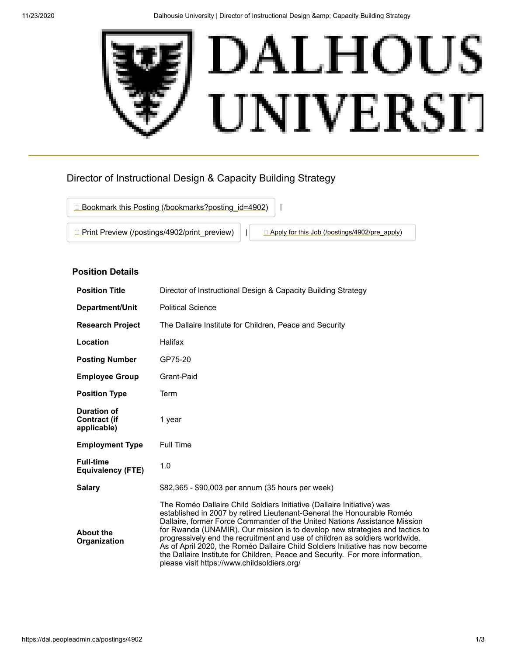

# Director of Instructional Design & Capacity Building Strategy



## **Position Details**

| <b>Position Title</b>                                    | Director of Instructional Design & Capacity Building Strategy                                                                                                                                                                                                                                                                                                                                                                                                                                                                                                                                                   |  |
|----------------------------------------------------------|-----------------------------------------------------------------------------------------------------------------------------------------------------------------------------------------------------------------------------------------------------------------------------------------------------------------------------------------------------------------------------------------------------------------------------------------------------------------------------------------------------------------------------------------------------------------------------------------------------------------|--|
| Department/Unit                                          | <b>Political Science</b>                                                                                                                                                                                                                                                                                                                                                                                                                                                                                                                                                                                        |  |
| <b>Research Project</b>                                  | The Dallaire Institute for Children, Peace and Security                                                                                                                                                                                                                                                                                                                                                                                                                                                                                                                                                         |  |
| Location                                                 | Halifax                                                                                                                                                                                                                                                                                                                                                                                                                                                                                                                                                                                                         |  |
| <b>Posting Number</b>                                    | GP75-20                                                                                                                                                                                                                                                                                                                                                                                                                                                                                                                                                                                                         |  |
| <b>Employee Group</b>                                    | Grant-Paid                                                                                                                                                                                                                                                                                                                                                                                                                                                                                                                                                                                                      |  |
| <b>Position Type</b>                                     | Term                                                                                                                                                                                                                                                                                                                                                                                                                                                                                                                                                                                                            |  |
| <b>Duration of</b><br><b>Contract (if</b><br>applicable) | 1 year                                                                                                                                                                                                                                                                                                                                                                                                                                                                                                                                                                                                          |  |
| <b>Employment Type</b>                                   | <b>Full Time</b>                                                                                                                                                                                                                                                                                                                                                                                                                                                                                                                                                                                                |  |
| <b>Full-time</b><br>Equivalency (FTE)                    | 1.0                                                                                                                                                                                                                                                                                                                                                                                                                                                                                                                                                                                                             |  |
| <b>Salary</b>                                            | \$82,365 - \$90,003 per annum (35 hours per week)                                                                                                                                                                                                                                                                                                                                                                                                                                                                                                                                                               |  |
| <b>About the</b><br>Organization                         | The Roméo Dallaire Child Soldiers Initiative (Dallaire Initiative) was<br>established in 2007 by retired Lieutenant-General the Honourable Roméo<br>Dallaire, former Force Commander of the United Nations Assistance Mission<br>for Rwanda (UNAMIR). Our mission is to develop new strategies and tactics to<br>progressively end the recruitment and use of children as soldiers worldwide.<br>As of April 2020, the Roméo Dallaire Child Soldiers Initiative has now become<br>the Dallaire Institute for Children, Peace and Security. For more information,<br>please visit https://www.childsoldiers.org/ |  |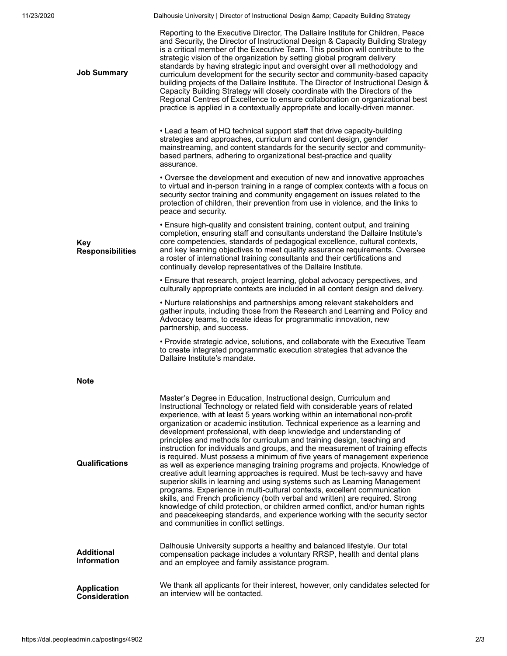11/23/2020 **Dalhousie University | Director of Instructional Design & amp; Capacity Building Strategy** 

| <b>Job Summary</b>                         | Reporting to the Executive Director, The Dallaire Institute for Children, Peace<br>and Security, the Director of Instructional Design & Capacity Building Strategy<br>is a critical member of the Executive Team. This position will contribute to the<br>strategic vision of the organization by setting global program delivery<br>standards by having strategic input and oversight over all methodology and<br>curriculum development for the security sector and community-based capacity<br>building projects of the Dallaire Institute. The Director of Instructional Design &<br>Capacity Building Strategy will closely coordinate with the Directors of the<br>Regional Centres of Excellence to ensure collaboration on organizational best<br>practice is applied in a contextually appropriate and locally-driven manner.                                                                                                                                                                                                                                                                                                                                                                                                                 |
|--------------------------------------------|--------------------------------------------------------------------------------------------------------------------------------------------------------------------------------------------------------------------------------------------------------------------------------------------------------------------------------------------------------------------------------------------------------------------------------------------------------------------------------------------------------------------------------------------------------------------------------------------------------------------------------------------------------------------------------------------------------------------------------------------------------------------------------------------------------------------------------------------------------------------------------------------------------------------------------------------------------------------------------------------------------------------------------------------------------------------------------------------------------------------------------------------------------------------------------------------------------------------------------------------------------|
|                                            | • Lead a team of HQ technical support staff that drive capacity-building<br>strategies and approaches, curriculum and content design, gender<br>mainstreaming, and content standards for the security sector and community-<br>based partners, adhering to organizational best-practice and quality<br>assurance.                                                                                                                                                                                                                                                                                                                                                                                                                                                                                                                                                                                                                                                                                                                                                                                                                                                                                                                                      |
|                                            | • Oversee the development and execution of new and innovative approaches<br>to virtual and in-person training in a range of complex contexts with a focus on<br>security sector training and community engagement on issues related to the<br>protection of children, their prevention from use in violence, and the links to<br>peace and security.                                                                                                                                                                                                                                                                                                                                                                                                                                                                                                                                                                                                                                                                                                                                                                                                                                                                                                   |
| Key<br><b>Responsibilities</b>             | • Ensure high-quality and consistent training, content output, and training<br>completion, ensuring staff and consultants understand the Dallaire Institute's<br>core competencies, standards of pedagogical excellence, cultural contexts,<br>and key learning objectives to meet quality assurance requirements. Oversee<br>a roster of international training consultants and their certifications and<br>continually develop representatives of the Dallaire Institute.                                                                                                                                                                                                                                                                                                                                                                                                                                                                                                                                                                                                                                                                                                                                                                            |
|                                            | • Ensure that research, project learning, global advocacy perspectives, and<br>culturally appropriate contexts are included in all content design and delivery.                                                                                                                                                                                                                                                                                                                                                                                                                                                                                                                                                                                                                                                                                                                                                                                                                                                                                                                                                                                                                                                                                        |
|                                            | . Nurture relationships and partnerships among relevant stakeholders and<br>gather inputs, including those from the Research and Learning and Policy and<br>Advocacy teams, to create ideas for programmatic innovation, new<br>partnership, and success.                                                                                                                                                                                                                                                                                                                                                                                                                                                                                                                                                                                                                                                                                                                                                                                                                                                                                                                                                                                              |
|                                            | • Provide strategic advice, solutions, and collaborate with the Executive Team<br>to create integrated programmatic execution strategies that advance the<br>Dallaire Institute's mandate.                                                                                                                                                                                                                                                                                                                                                                                                                                                                                                                                                                                                                                                                                                                                                                                                                                                                                                                                                                                                                                                             |
| <b>Note</b>                                |                                                                                                                                                                                                                                                                                                                                                                                                                                                                                                                                                                                                                                                                                                                                                                                                                                                                                                                                                                                                                                                                                                                                                                                                                                                        |
| Qualifications                             | Master's Degree in Education, Instructional design, Curriculum and<br>Instructional Technology or related field with considerable years of related<br>experience, with at least 5 years working within an international non-profit<br>organization or academic institution. Technical experience as a learning and<br>development professional, with deep knowledge and understanding of<br>principles and methods for curriculum and training design, teaching and<br>instruction for individuals and groups, and the measurement of training effects<br>is required. Must possess a minimum of five years of management experience<br>as well as experience managing training programs and projects. Knowledge of<br>creative adult learning approaches is required. Must be tech-savvy and have<br>superior skills in learning and using systems such as Learning Management<br>programs. Experience in multi-cultural contexts, excellent communication<br>skills, and French proficiency (both verbal and written) are required. Strong<br>knowledge of child protection, or children armed conflict, and/or human rights<br>and peacekeeping standards, and experience working with the security sector<br>and communities in conflict settings. |
| <b>Additional</b><br><b>Information</b>    | Dalhousie University supports a healthy and balanced lifestyle. Our total<br>compensation package includes a voluntary RRSP, health and dental plans<br>and an employee and family assistance program.                                                                                                                                                                                                                                                                                                                                                                                                                                                                                                                                                                                                                                                                                                                                                                                                                                                                                                                                                                                                                                                 |
| <b>Application</b><br><b>Consideration</b> | We thank all applicants for their interest, however, only candidates selected for<br>an interview will be contacted.                                                                                                                                                                                                                                                                                                                                                                                                                                                                                                                                                                                                                                                                                                                                                                                                                                                                                                                                                                                                                                                                                                                                   |